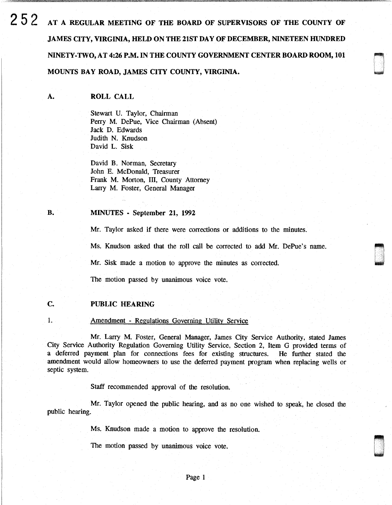252 AT A REGULAR MEETING OF THE BOARD OF SUPERVISORS OF THE COUNTY OF JAMES CITY, VIRGINIA, HELD ON THE 21ST DAY OF DECEMBER, NINETEEN HUNDRED NINETY-TWO, AT 4:26 P.M. IN THE COUNTY GOVERNMENT CENTER BOARD ROOM, 101 ~ MOUNTS BAY ROAD, JAMES CITY COUNTY, VIRGINIA.

l I

A. ROLL CALL

> Stewart U. Taylor, Chairman Perry M. DePue, Vice Chairman (Absent) Jack D. Edwards Judith N. Knudson David L. Sisk

David B. Norman, Secretary John E. McDonald, Treasurer Frank M. Morton, III, County Attorney Larry M. Foster, General Manager

#### B. MINUTES - September 21, 1992

Mr. Taylor asked if there were corrections or additions to the minutes.

Ms. Knudson asked that the roll call be corrected to add Mr. DePue's name.

Mr. Sisk made a motion to approve the minutes as corrected.

The motion passed by unanimous voice vote.

### c. PUBLIC HEARING

#### 1. Amendment - Regulations Governing Utility Service

Mr. Larry M. Foster, General Manager, James City Service Authority, stated James City Service Authority Regulation Governing Utility Service, Section 2, Item G provided terms of a deferred payment plan for connections fees for existing structures. He further stated the amendment would allow homeowners to use the deferred payment program when replacing wells or septic system.

Staff recommended approval of the resolution.

Mr. Taylor opened the public hearing, and as no one wished to speak, he closed the public hearing.

Ms. Knudson made a motion to approve the resolution.

The motion passed by unanimous voice vote.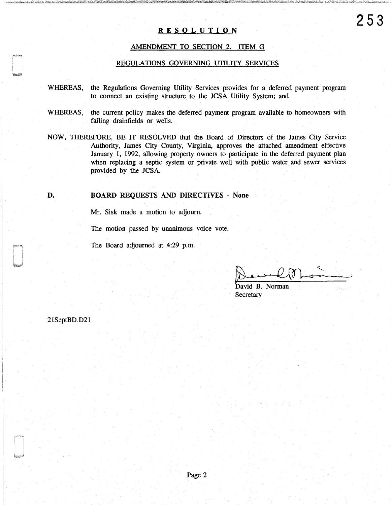## **RESOLUTION**

# AMENDMENT TO SECTION 2. ITEM G

### REGULATIONS GOVERNING UTILITY SERVICES

- WHEREAS, the Regulations Governing Utility Services provides for a deferred payment program to connect an existing structure to the JCSA Utility System; and
- WHEREAS, the current policy makes the deferred payment program available to homeowners with failing drainfields or wells.
- NOW, THEREFORE, BE IT RESOLVED that the Board of Directors of the James City Service Authority, James City County, Virginia, approves the attached amendment effective January 1, 1992, allowing property owners to participate in the deferred payment plan when replacing a septic system or private well with public water and sewer services provided by the JCSA.

### **D.** BOARD REQUESTS AND DIRECTIVES - None

Mr. Sisk made a motion to adjourn.

The motion passed by unanimous voice vote.

The Board adjourned at 4:29 p.m.

None<br>David B. Norman<br>Secretary<br>Secretary

**Secretary** 

21SeptBD.D21